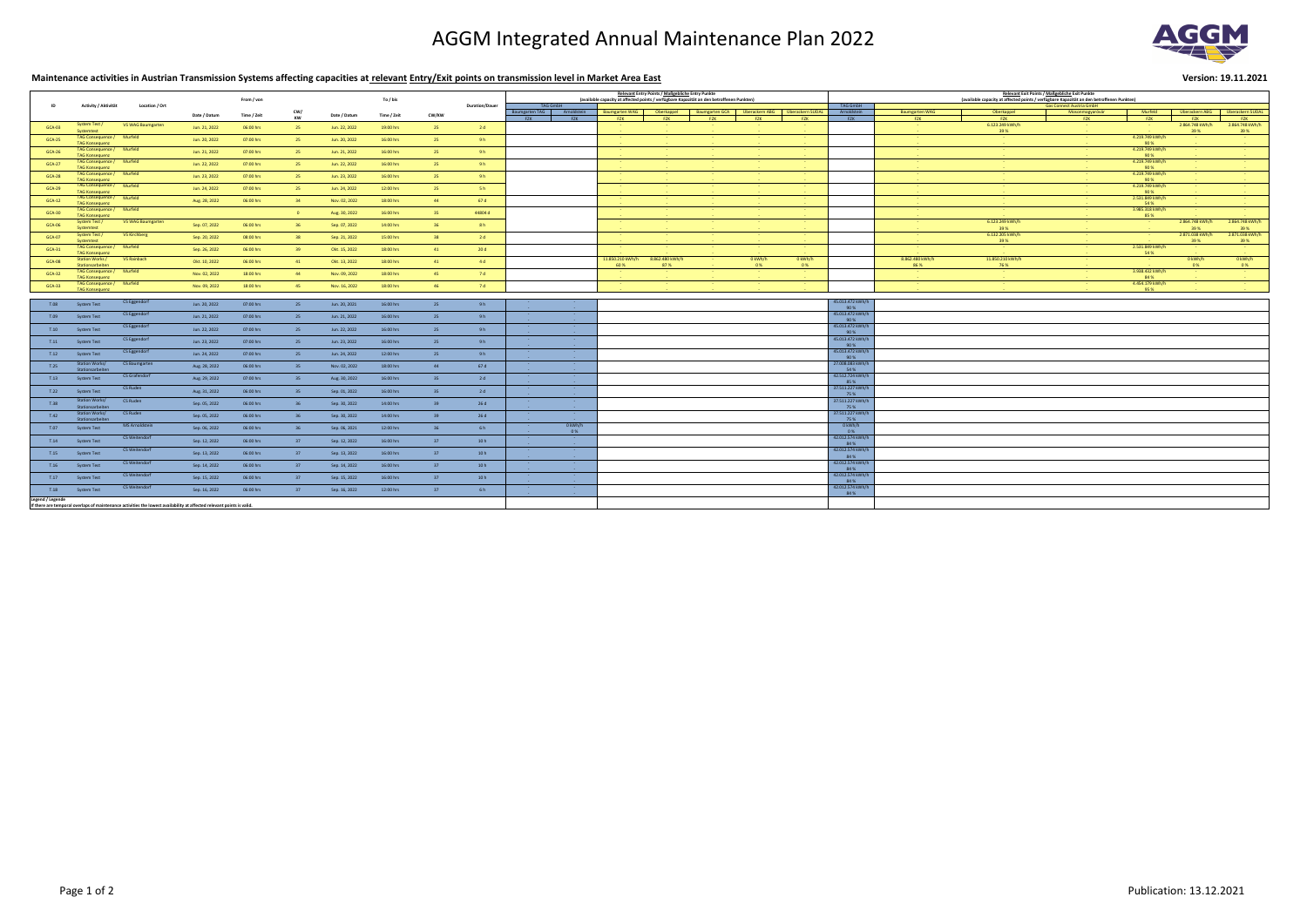# AGGM Integrated Annual Maintenance Plan 2022

# **Maintenance activities in Austrian Transmission Systems affecting capacities at relevant Entry/Exit points on transmission level in Market Area East Version: 19.11.2021**

|                                                                                                                                            | Activity / Aktivität                               | Location / 0             |               |             |        |               |             |              | <b>Duration/Dauer</b> | Relevant Entry Points / Maßgebliche Entry Punkte                                                                                                                                                                                                                                                                                                      |                                                     |                          |                                                                                                                |                       |                          |                                  | <b>Relevant Exit Points / Maßgebliche Exit Punkte</b> |                                                                                                                                                 |                          |                                                            |                                  |                                  |                                                                                                                                             |
|--------------------------------------------------------------------------------------------------------------------------------------------|----------------------------------------------------|--------------------------|---------------|-------------|--------|---------------|-------------|--------------|-----------------------|-------------------------------------------------------------------------------------------------------------------------------------------------------------------------------------------------------------------------------------------------------------------------------------------------------------------------------------------------------|-----------------------------------------------------|--------------------------|----------------------------------------------------------------------------------------------------------------|-----------------------|--------------------------|----------------------------------|-------------------------------------------------------|-------------------------------------------------------------------------------------------------------------------------------------------------|--------------------------|------------------------------------------------------------|----------------------------------|----------------------------------|---------------------------------------------------------------------------------------------------------------------------------------------|
|                                                                                                                                            |                                                    |                          |               | From / von  |        |               | To / bis    |              |                       | (available capacity at affected points / verfügbare Kapazität an den betroffenen Punkten)<br><b>TAG GmbH</b>                                                                                                                                                                                                                                          |                                                     |                          |                                                                                                                |                       |                          |                                  |                                                       | (available capacity at affected points / verfügbare Kapazität an den betroffenen Punkten)<br><b>TAG GmbH</b><br><b>Gas Connect Austria GmbH</b> |                          |                                                            |                                  |                                  |                                                                                                                                             |
|                                                                                                                                            |                                                    |                          | Date / Datum  | Time / Zeit | CW/    | Date / Datum  | Time / Zeit | <b>CW/KW</b> |                       | Baumgarten TAG                                                                                                                                                                                                                                                                                                                                        | Δr                                                  | <b>Baumgarten WAG</b>    | <b>Oberkannel</b>                                                                                              | <b>Baumgarten GCA</b> | Überackern ABG           | Überackern SUDAL                 | Arnoldstein                                           | <b>Baumgarten WAG</b>                                                                                                                           | Oberkappel               | Mosonmagyaróvár                                            | Murfeld                          | Überackern ABG                   | Überackern SUDAL                                                                                                                            |
|                                                                                                                                            |                                                    |                          |               |             |        |               |             |              |                       | EZK ER                                                                                                                                                                                                                                                                                                                                                | <b>EXAMPLE PROPERTY</b>                             | <b>F7K</b>               | F7K -                                                                                                          | <b>F7K</b>            | <b>F7K</b>               | <b>EZK</b>                       | <b>EZK</b>                                            | <b>FZK</b>                                                                                                                                      | F7K -                    | F7K -                                                      | <b>EZK</b>                       | <b>FZK</b>                       | F7K -                                                                                                                                       |
| <b>GCA-03</b>                                                                                                                              | System Test /<br>systemtes                         | <b>VS WAG Baumgarten</b> | Jun. 21, 2022 | 06:00 hrs   |        | Jun. 22, 2022 | 19:00 hrs   |              | 2d                    |                                                                                                                                                                                                                                                                                                                                                       |                                                     |                          |                                                                                                                |                       |                          |                                  |                                                       | <b>Service</b>                                                                                                                                  | 6.123.249 kWh/h<br>39 %  |                                                            |                                  | 2.864.748 kWh/h<br>39 %          | 2.864.748 kWh/h<br>39 %                                                                                                                     |
| GCA-25                                                                                                                                     | TAG Consequence / Murfeld<br><b>TAG Konsequenz</b> |                          | Jun. 20, 2022 | 07:00 hrs   |        | Jun. 20, 2022 | 16:00 hrs   |              | 9h                    |                                                                                                                                                                                                                                                                                                                                                       |                                                     |                          |                                                                                                                |                       |                          | <b>Contract Contract</b>         |                                                       | <b>Contract Contract</b>                                                                                                                        |                          | <b>Contract Contract</b>                                   | 4.219.749 kWh/h<br>90 %          | <b>Contract Contract</b>         |                                                                                                                                             |
| GCA-26                                                                                                                                     | TAG Consequence / Murfeld<br><b>TAG Konsequenz</b> |                          | Jun. 21, 2022 | 07:00 hrs   |        | Jun. 21, 2022 | 16:00 hrs   |              | 9h                    |                                                                                                                                                                                                                                                                                                                                                       |                                                     | <b>Service Contract</b>  |                                                                                                                |                       |                          | <b>Service</b><br><b>Service</b> |                                                       |                                                                                                                                                 |                          | <b>State State</b>                                         | 4.219.749 kWh/h<br>90 %          |                                  |                                                                                                                                             |
| <b>GCA-27</b>                                                                                                                              | TAG Consequence / Murfeld<br><b>TAG Konsequenz</b> |                          | Jun. 22, 2022 | 07:00 hrs   |        | Jun. 22, 2022 | 16:00 hrs   |              | 9h                    |                                                                                                                                                                                                                                                                                                                                                       |                                                     |                          |                                                                                                                |                       |                          | <b>Contract Contract</b>         |                                                       |                                                                                                                                                 |                          |                                                            | 4.219.749 kWh/h<br>90 %          |                                  |                                                                                                                                             |
| GCA-28                                                                                                                                     | TAG Consequence / Murfeld                          |                          | Jun. 23, 2022 | 07:00 hrs   |        | Jun. 23, 2022 | 16:00 hrs   |              | 9h                    |                                                                                                                                                                                                                                                                                                                                                       |                                                     | <b>Contract Contract</b> |                                                                                                                |                       | <b>Contract Contract</b> | <b>Contract Contract</b>         |                                                       | <b>Contract Contract</b>                                                                                                                        |                          | <b>State State</b>                                         | 4.219.749 kWh/h                  | <b>Contract Contract</b>         | <b>Contact Contact</b>                                                                                                                      |
| <b>GCA-29</b>                                                                                                                              | <b>TAG Konsequenz</b><br>TAG Consequence / Murfeld |                          | Jun. 24, 2022 | 07:00 hrs   |        | Jun. 24, 2022 | 12:00 hrs   | -25          | $-5h$                 |                                                                                                                                                                                                                                                                                                                                                       |                                                     |                          |                                                                                                                |                       |                          | <b>Contract Contract</b>         |                                                       | <b>State State</b>                                                                                                                              |                          | <b>Service</b> State                                       | 90 %<br>4.219.749 kWh/h          |                                  |                                                                                                                                             |
| $GCA-12$                                                                                                                                   | TAG Konsequenz<br>TAG Consequence / Murfeld        |                          | Aug. 28, 2022 | 06:00 hrs   |        | Nov. 02, 2022 | 18:00 hrs   |              | 67d                   |                                                                                                                                                                                                                                                                                                                                                       |                                                     |                          |                                                                                                                |                       |                          | <b>Contract Contract</b>         |                                                       |                                                                                                                                                 |                          | <b>Contract Contract</b>                                   | 90 %<br>2.531.849 kWh/h          |                                  | <b>State State</b>                                                                                                                          |
| <b>GCA-30</b>                                                                                                                              | <b>TAG Konsequenz</b><br>TAG Consequence / Murfeld |                          |               |             |        | Aug. 30, 2022 | 16:00 hrs   |              | 44804 d               |                                                                                                                                                                                                                                                                                                                                                       |                                                     | <b>Service Control</b>   |                                                                                                                |                       |                          | <b>Contract Contract</b>         |                                                       | <b>Contract Contract</b>                                                                                                                        |                          | <b>State State</b>                                         | 54 %<br>3.985.318 kWh/h          | <b>State State</b>               |                                                                                                                                             |
|                                                                                                                                            | <b>TAG Konsequenz</b><br>System Test /             | <b>VS WAG Baumgarten</b> |               |             |        |               |             |              |                       |                                                                                                                                                                                                                                                                                                                                                       |                                                     |                          |                                                                                                                |                       |                          |                                  |                                                       | <b>Contract Contract</b><br><b>Contract Contract</b>                                                                                            | 6.123.249 kWh/h          |                                                            | 85 %<br><b>Contract Contract</b> | 2.864.748 kWh/h                  | 2.864.748 kWh/h                                                                                                                             |
| GCA-06                                                                                                                                     | <b>Systemtes</b><br>System Test                    | VS Kirchberg             | Sep. 07, 2022 | 06:00 hrs   |        | Sep. 07, 2022 | 14:00 hrs   |              | 8h                    |                                                                                                                                                                                                                                                                                                                                                       |                                                     | <b>Contract Contract</b> |                                                                                                                |                       |                          | <b>State Control</b>             |                                                       | <b>Contract Contract</b><br><b>State State</b>                                                                                                  | 39 %<br>6.132.205 kWh/h  |                                                            | <b>Service Control</b>           | 39 %<br>2.871.038 kWh/h          | 39 %<br>2.871.038 kWh/h                                                                                                                     |
| <b>GCA-07</b>                                                                                                                              | systemtes<br>TAG Consequence / Murfeld             |                          | Sep. 20, 2022 | 08:00 hrs   |        | Sep. 21, 2022 | 15:00 hrs   |              | 2d                    |                                                                                                                                                                                                                                                                                                                                                       |                                                     |                          |                                                                                                                |                       |                          | <b>Contract Contract</b>         |                                                       | <b>Contract Contract</b><br><b>Contract Contract</b>                                                                                            | 39 %                     |                                                            | 2.531.849 kWh/h                  | 39 %<br><b>Contract Contract</b> | 39%                                                                                                                                         |
| <b>GCA-31</b>                                                                                                                              | <b>TAG Konsequenz</b>                              |                          | Sep. 26, 2022 | 06:00 hrs   |        | Okt. 15, 2022 | 18:00 hrs   |              | 20d                   |                                                                                                                                                                                                                                                                                                                                                       |                                                     |                          |                                                                                                                |                       | <b>State State</b>       | <b>State State</b>               |                                                       | <b>Contract Contract</b>                                                                                                                        | <b>Contract Contract</b> |                                                            | 54 %                             | <b>State State</b>               |                                                                                                                                             |
| <b>GCA-08</b>                                                                                                                              | <b>Station Works</b><br>Stationsarbeiten           | VS Rainbach              | Okt. 10, 2022 | 06:00 hrs   |        | Okt. 13, 2022 | 18:00 hrs   |              | 4d                    |                                                                                                                                                                                                                                                                                                                                                       |                                                     | 11.850.210 kWh/h<br>60 % | 8.862.480 kWh/h<br>87 %                                                                                        |                       | 0 kWh/h<br>0%            | 0 kWh/h<br>0%                    |                                                       | 8.862.480 kWh/h<br>86 %                                                                                                                         | 11.850.210 kWh/h<br>76 % |                                                            |                                  | 0 kWh/h<br>0%                    | 0 kWh/h<br>0%                                                                                                                               |
| $GCA-32$                                                                                                                                   | TAG Consequence / Murfeld<br><b>TAG Konsequenz</b> |                          | Nov. 02, 2022 | 18:00 hrs   |        | Nov. 09, 2022 | 18:00 hrs   |              | 7d                    |                                                                                                                                                                                                                                                                                                                                                       |                                                     | <b>State State</b>       |                                                                                                                |                       |                          | <b>Contract Contract</b>         |                                                       | <b>Contract Contract</b>                                                                                                                        |                          |                                                            | 3.938.432 kWh/h<br>84 %          |                                  |                                                                                                                                             |
| $GCA-33$                                                                                                                                   | TAG Consequence / Murfeld<br>TAG Konsequenz        |                          | Nov. 09, 2022 | 18:00 hrs   |        | Nov. 16, 2022 | $18:00$ hrs |              | 7d                    |                                                                                                                                                                                                                                                                                                                                                       |                                                     |                          | 1000 Andrews Advertiser Advertiser Advertiser Advertiser Advertiser Advertiser Advertiser Advertiser Advertise |                       |                          |                                  |                                                       | the company of the company                                                                                                                      |                          | 이 사이 부모님은 이 사이에 대한 사이에 대한 사이를 하고 있다. 이 사이 사이 시간이 있는 것이 있다. | 4.454.179 kWh/h<br>95%           |                                  | 이 사이에 대한 사이를 하는 것이 아니라 이 사이에 대한 사이에 대한 사이에 있다.<br>the control of the control of the control of the control of the control of the control of |
|                                                                                                                                            |                                                    |                          |               |             |        |               |             |              |                       |                                                                                                                                                                                                                                                                                                                                                       |                                                     |                          |                                                                                                                |                       |                          |                                  |                                                       |                                                                                                                                                 |                          |                                                            |                                  |                                  |                                                                                                                                             |
|                                                                                                                                            | T.08 System Test                                   | CS Eggendorf             | Jun. 20, 2022 | 07:00 hrs   | 25     | Jun. 20, 2021 | 16:00 hrs   |              | 9h                    | the second control of the second control of the second                                                                                                                                                                                                                                                                                                |                                                     |                          |                                                                                                                |                       |                          |                                  | 45.013.472 kWh/h<br>90 %                              |                                                                                                                                                 |                          |                                                            |                                  |                                  |                                                                                                                                             |
|                                                                                                                                            | T.09 System Test                                   | CS Eggendorf             | Jun. 21, 2022 | 07:00 hrs   | 25     | Jun. 21, 2022 | 16:00 hrs   | $-25$        | 9h                    | <u> 1989 - Johann Barbara, martxa a shekara 1989 - An tsara 1989 - An tsara 1989 - An tsara 1989 - An tsara 1989</u><br>이 사이트 - Contract Andrew Contract Andrew Contract Andrew Contract Andrew Contract Andrew Contract Andrew Contract Andrew Contract Andrew Contract Andrew Contract Andrew Contract Andrew Contract Andrew Contract Andrew Contr |                                                     |                          |                                                                                                                |                       |                          |                                  | 45.013.472 kWh/h<br>90%                               |                                                                                                                                                 |                          |                                                            |                                  |                                  |                                                                                                                                             |
|                                                                                                                                            | T.10 System Test                                   | CS Eggendorf             | Jun. 22, 2022 | 07:00 hrs   | 25     | Jun. 22, 2022 | 16:00 hrs   |              | 9h                    | the control of the control of the control of the control of the control of the control of<br>the control of the control of the control of the control of the control of                                                                                                                                                                               |                                                     |                          |                                                                                                                |                       |                          |                                  | 45.013.472 kWh/h<br>90 %                              |                                                                                                                                                 |                          |                                                            |                                  |                                  |                                                                                                                                             |
|                                                                                                                                            | T.11 System Test                                   | CS Eggendorf             | Jun. 23, 2022 | 07:00 hrs   | 25     | Jun. 23, 2022 | 16:00 hrs   |              | 9h                    | the company of the company of the company of the company of the company of                                                                                                                                                                                                                                                                            | the contract of the contract of the contract of the |                          |                                                                                                                |                       |                          |                                  | 45.013.472 kWh/h<br>$90\%$                            |                                                                                                                                                 |                          |                                                            |                                  |                                  |                                                                                                                                             |
|                                                                                                                                            | T.12 System Test                                   | CS Eggendorf             | Jun. 24, 2022 | 07:00 hrs   | 25     | Jun. 24, 2022 | 12:00 hrs   |              | 9h                    | <u> 1990 - Johann Barn, mars an t-Amerikaansk kommunister (</u><br>the control of the control of the control of the control of the control of the control of                                                                                                                                                                                          |                                                     |                          |                                                                                                                |                       |                          |                                  | 45.013.472 kWh/h<br>$90\%$                            |                                                                                                                                                 |                          |                                                            |                                  |                                  |                                                                                                                                             |
| T.25                                                                                                                                       | <b>Station Works/</b><br>Stationsarbeiten          | CS Baumgarten            | Aug. 28, 2022 | 06:00 hrs   |        | Nov. 02, 2022 | 18:00 hrs   | -44          | 67 d                  | the control of the control of the control of the control of the control of the control of the control of the control of the control of the control of the control of the control of the control of the control of the control                                                                                                                         |                                                     |                          |                                                                                                                |                       |                          |                                  | 27.008.083 kWh/h<br>54%                               |                                                                                                                                                 |                          |                                                            |                                  |                                  |                                                                                                                                             |
|                                                                                                                                            | T.13 System Test                                   | CS Grafendorf            | Aug. 29, 2022 | 07:00 hrs   | - 35 - | Aug. 30, 2022 | $16:00$ hrs |              | 2d                    | 이 아이는 아이들이 아이들이 아이들이 아이들이 아이들이 아니다.<br>the control of the control of the control of the control of the control of                                                                                                                                                                                                                                     |                                                     |                          |                                                                                                                |                       |                          |                                  | 42.512.724 kWh/h                                      |                                                                                                                                                 |                          |                                                            |                                  |                                  |                                                                                                                                             |
| T.22                                                                                                                                       | System Test                                        | CS Ruden                 | Aug. 31, 2022 | 06:00 hrs   | - 35 - | Sep. 01, 2022 | 16:00 hrs   |              | 2d                    | the control of the control of the control of the control of the control of                                                                                                                                                                                                                                                                            |                                                     |                          |                                                                                                                |                       |                          |                                  | $85\%$<br>37.511.227 kWh/h                            |                                                                                                                                                 |                          |                                                            |                                  |                                  |                                                                                                                                             |
| T.38                                                                                                                                       | Station Works/ CS Ruden                            |                          | Sep. 05, 2022 | 06:00 hrs   |        | Sep. 30, 2022 | 14:00 hrs   |              | 26d                   | 이 아이들은 그 사람들은 아이들이 아이들이 아이들이 아이들이 아니다. 이 사람들은 아이들이 아니라 아이들이 아니라 아이들이 아니라 아이들이 아니라 아이들이 아니라 아니라 아니라 아니라 아니라 아니라<br>the contract of the contract of the contract of the contract of the contract of the contract of the contract of                                                                                                                     |                                                     |                          |                                                                                                                |                       |                          |                                  | 75%<br>37.511.227 kWh/h                               |                                                                                                                                                 |                          |                                                            |                                  |                                  |                                                                                                                                             |
| T.42                                                                                                                                       | Stationsarbeiten<br><b>Station Works/</b>          | CS Ruden                 | Sep. 05, 2022 | 06:00 hrs   |        | Sep. 30, 2022 | 14:00 hrs   |              | 26d                   | the control of the control of the control of the control of the control of the control of<br>the contract of the contract of the contract of the contract of the contract of the contract of the contract of                                                                                                                                          |                                                     |                          |                                                                                                                |                       |                          |                                  | 75%<br>37.511.227 kWh/h                               |                                                                                                                                                 |                          |                                                            |                                  |                                  |                                                                                                                                             |
| T.07                                                                                                                                       | Stationsarbeiten<br>System Test                    | MS Arnoldstein           | Sep. 06, 2022 | 06:00 hrs   |        | Sep. 06, 2021 | $12:00$ hrs |              | 6h                    | the company of the company of the                                                                                                                                                                                                                                                                                                                     | and the control of the control<br>0 kWh/h           |                          |                                                                                                                |                       |                          |                                  | 75%<br>0 kWh/h                                        |                                                                                                                                                 |                          |                                                            |                                  |                                  |                                                                                                                                             |
|                                                                                                                                            |                                                    | CS Weitendorf            |               |             |        |               |             |              |                       | $\sim$ $  \sim$ $ \sim$ $ \sim$ $ 0\%$<br>the control of the control of the control of the control of the control of the control of                                                                                                                                                                                                                   |                                                     |                          |                                                                                                                |                       |                          |                                  | $0\%$<br>42.012.574 kWh/h                             |                                                                                                                                                 |                          |                                                            |                                  |                                  |                                                                                                                                             |
|                                                                                                                                            | T.14 System Test                                   | CS Weitendorf            | Sep. 12, 2022 | 06:00 hrs   |        | Sep. 12, 2022 | $16:00$ hrs |              | 10h                   | the contract of the contract of the contract of the contract of the contract of<br>the control of the control of the control of the control of the control of the control of the control of the control of the control of the control of the control of the control of the control of the control of the control                                      |                                                     |                          |                                                                                                                |                       |                          |                                  | 84 %<br>42.012.574 kWh/h                              |                                                                                                                                                 |                          |                                                            |                                  |                                  |                                                                                                                                             |
|                                                                                                                                            | T.15 System Test                                   |                          | Sep. 13, 2022 | 06:00 hrs   |        | Sep. 13, 2022 | 16:00 hrs   |              | 10h                   | the control of the control of the control of the control of the control of the control of                                                                                                                                                                                                                                                             |                                                     |                          |                                                                                                                |                       |                          |                                  | 84 %<br>42.012.574 kWh/h                              |                                                                                                                                                 |                          |                                                            |                                  |                                  |                                                                                                                                             |
|                                                                                                                                            | T.16 System Test                                   | CS Weitendorf            | Sep. 14, 2022 | 06:00 hrs   | - 37 - | Sep. 14, 2022 | 16:00 hrs   |              | 10h                   | the control of the control of the control of the control of the control of the control of                                                                                                                                                                                                                                                             |                                                     |                          |                                                                                                                |                       |                          |                                  | 84 %                                                  |                                                                                                                                                 |                          |                                                            |                                  |                                  |                                                                                                                                             |
| T.17                                                                                                                                       | System Test CS Weitendorf                          |                          | Sep. 15, 2022 | 06:00 hrs   |        | Sep. 15, 2022 | 16:00 hrs   |              | 10h                   | the contract of the contract of the contract of the contract of the contract of the contract of the contract of                                                                                                                                                                                                                                       |                                                     |                          |                                                                                                                |                       |                          |                                  | 42.012.574 kWh/h<br>84 %                              |                                                                                                                                                 |                          |                                                            |                                  |                                  |                                                                                                                                             |
| T.18                                                                                                                                       | System Test                                        | CS Weitendorf            | Sep. 16, 2022 | 06:00 hrs   |        | Sep. 16, 2022 | 12:00 hrs   |              | 6h                    | the control of the control of the control of the control of the control of<br><b>Service Contract</b>                                                                                                                                                                                                                                                 | <b>Service Communication</b>                        |                          |                                                                                                                |                       |                          |                                  | 42.012.574 kWh/h<br>84 %                              |                                                                                                                                                 |                          |                                                            |                                  |                                  |                                                                                                                                             |
| Legend / Legende<br>If there are temporal overlaps of maintenance activities the lowest availability at affected relevant points is valid. |                                                    |                          |               |             |        |               |             |              |                       |                                                                                                                                                                                                                                                                                                                                                       |                                                     |                          |                                                                                                                |                       |                          |                                  |                                                       |                                                                                                                                                 |                          |                                                            |                                  |                                  |                                                                                                                                             |

**If there are temporal overlaps of maintenance activities the lowest availability at affected relevant points is valid.**